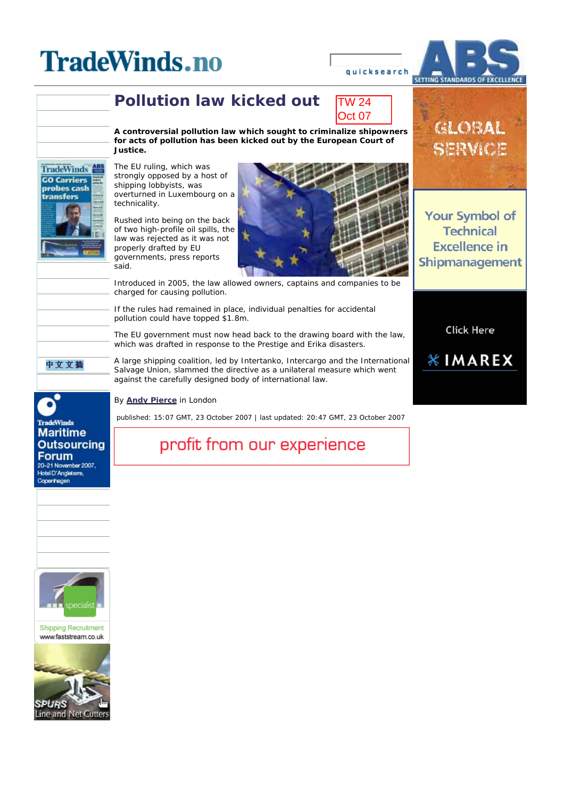# **Pollution law kicked out**



**A controversial pollution law which sought to criminalize shipowners for acts of pollution has been kicked out by the European Court of Justice.** 

The EU ruling, which was strongly opposed by a host of shipping lobbyists, was overturned in Luxembourg on a technicality.

Rushed into being on the back of two high-profile oil spills, the law was rejected as it was not properly drafted by EU governments, press reports said.



Introduced in 2005, the law allowed owners, captains and companies to be charged for causing pollution.

If the rules had remained in place, individual penalties for accidental pollution could have topped \$1.8m.

The EU government must now head back to the drawing board with the law, which was drafted in response to the Prestige and Erika disasters.

A large shipping coalition, led by Intertanko, Intercargo and the International Salvage Union, slammed the directive as a unilateral measure which went against the carefully designed body of international law.

By *Andy Pierce* in London

 *published: 15:07 GMT, 23 October 2007 | last updated: 20:47 GMT, 23 October 2007*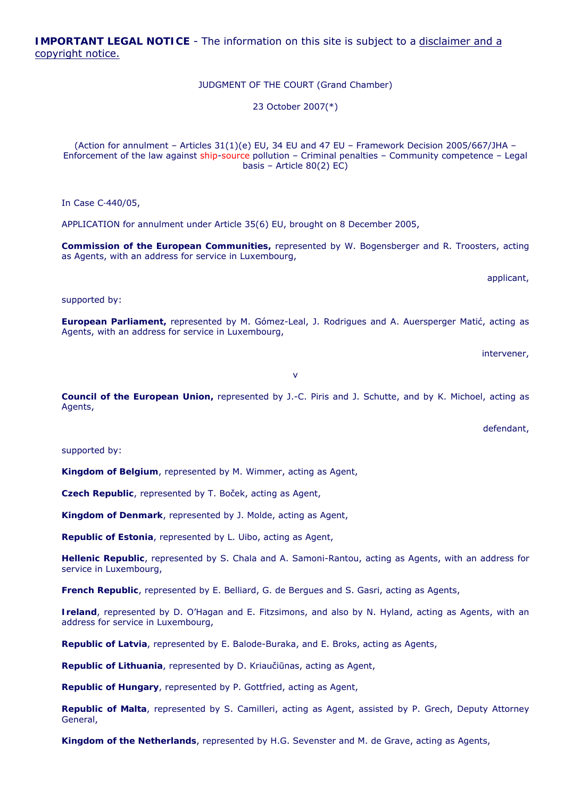**IMPORTANT LEGAL NOTICE** - The information on this site is subject to a disclaimer and a copyright notice.

JUDGMENT OF THE COURT (Grand Chamber)

23 October 2007(\*)

(Action for annulment – Articles 31(1)(e) EU, 34 EU and 47 EU – Framework Decision 2005/667/JHA – Enforcement of the law against ship-source pollution – Criminal penalties – Community competence – Legal basis – Article 80(2) EC)

In Case C‑440/05,

APPLICATION for annulment under Article 35(6) EU, brought on 8 December 2005,

**Commission of the European Communities,** represented by W. Bogensberger and R. Troosters, acting as Agents, with an address for service in Luxembourg,

applicant,

supported by:

**European Parliament,** represented by M. Gómez-Leal, J. Rodrigues and A. Auersperger Matić, acting as Agents, with an address for service in Luxembourg,

intervener,

v

 **Council of the European Union,** represented by J.-C. Piris and J. Schutte, and by K. Michoel, acting as Agents,

defendant,

supported by:

**Kingdom of Belgium**, represented by M. Wimmer, acting as Agent,

**Czech Republic**, represented by T. Boček, acting as Agent,

**Kingdom of Denmark**, represented by J. Molde, acting as Agent,

**Republic of Estonia**, represented by L. Uibo, acting as Agent,

**Hellenic Republic**, represented by S. Chala and A. Samoni-Rantou, acting as Agents, with an address for service in Luxembourg,

**French Republic**, represented by E. Belliard, G. de Bergues and S. Gasri, acting as Agents,

 **Ireland**, represented by D. O'Hagan and E. Fitzsimons, and also by N. Hyland, acting as Agents, with an address for service in Luxembourg,

**Republic of Latvia**, represented by E. Balode-Buraka, and E. Broks, acting as Agents,

**Republic of Lithuania**, represented by D. Kriaučiūnas, acting as Agent,

**Republic of Hungary**, represented by P. Gottfried, acting as Agent,

**Republic of Malta**, represented by S. Camilleri, acting as Agent, assisted by P. Grech, Deputy Attorney General,

**Kingdom of the Netherlands**, represented by H.G. Sevenster and M. de Grave, acting as Agents,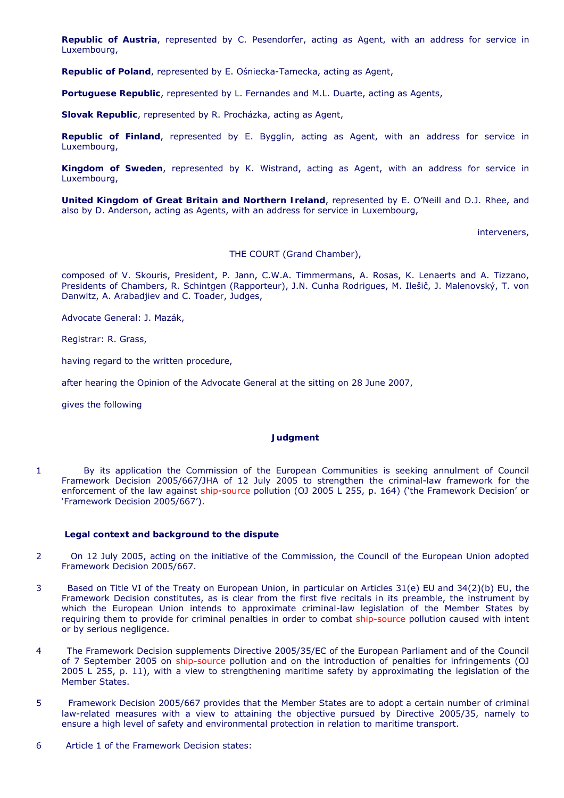**Republic of Austria**, represented by C. Pesendorfer, acting as Agent, with an address for service in Luxembourg,

**Republic of Poland**, represented by E. Ośniecka-Tamecka, acting as Agent,

**Portuguese Republic**, represented by L. Fernandes and M.L. Duarte, acting as Agents,

**Slovak Republic**, represented by R. Procházka, acting as Agent,

**Republic of Finland**, represented by E. Bygglin, acting as Agent, with an address for service in Luxembourg,

 **Kingdom of Sweden**, represented by K. Wistrand, acting as Agent, with an address for service in Luxembourg,

 **United Kingdom of Great Britain and Northern Ireland**, represented by E. O'Neill and D.J. Rhee, and also by D. Anderson, acting as Agents, with an address for service in Luxembourg,

interveners,

THE COURT (Grand Chamber),

 composed of V. Skouris, President, P. Jann, C.W.A. Timmermans, A. Rosas, K. Lenaerts and A. Tizzano, Presidents of Chambers, R. Schintgen (Rapporteur), J.N. Cunha Rodrigues, M. Ilešič, J. Malenovský, T. von Danwitz, A. Arabadjiev and C. Toader, Judges,

Advocate General: J. Mazák,

Registrar: R. Grass,

having regard to the written procedure,

after hearing the Opinion of the Advocate General at the sitting on 28 June 2007,

gives the following

### **Judgment**

enforcement of the law against ship-source pollution (OJ 2005 L 255, p. 164) ('the Framework Decision' or 1 By its application the Commission of the European Communities is seeking annulment of Council Framework Decision 2005/667/JHA of 12 July 2005 to strengthen the criminal-law framework for the 'Framework Decision 2005/667').

### **Legal context and background to the dispute**

- $\overline{2}$ On 12 July 2005, acting on the initiative of the Commission, the Council of the European Union adopted Framework Decision 2005/667.
- 3 Framework Decision constitutes, as is clear from the first five recitals in its preamble, the instrument by requiring them to provide for criminal penalties in order to combat ship-source pollution caused with intent Based on Title VI of the Treaty on European Union, in particular on Articles 31(e) EU and 34(2)(b) EU, the which the European Union intends to approximate criminal-law legislation of the Member States by or by serious negligence.
- of 7 September 2005 on ship-source pollution and on the introduction of penalties for infringements (OJ  $\Delta$  The Framework Decision supplements Directive 2005/35/EC of the European Parliament and of the Council 2005 L 255, p. 11), with a view to strengthening maritime safety by approximating the legislation of the Member States.
- 5 Framework Decision 2005/667 provides that the Member States are to adopt a certain number of criminal law-related measures with a view to attaining the objective pursued by Directive 2005/35, namely to ensure a high level of safety and environmental protection in relation to maritime transport.
- 6 Article 1 of the Framework Decision states: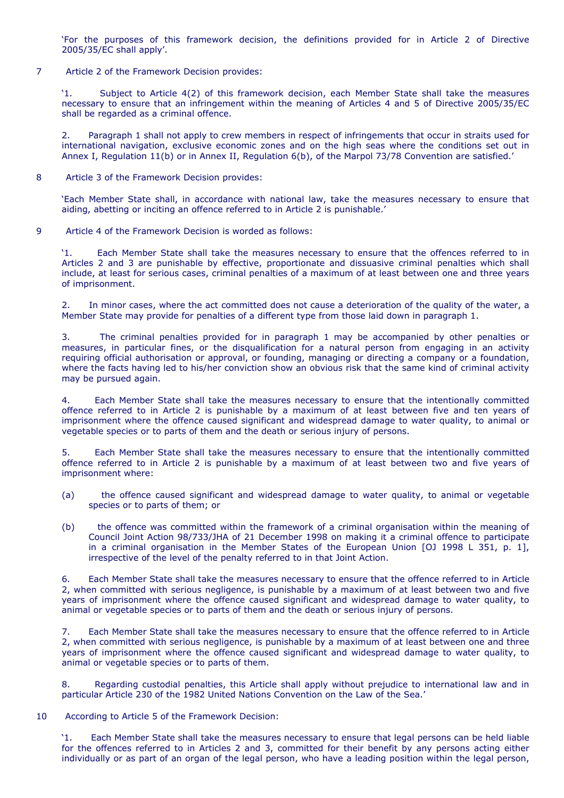'For the purposes of this framework decision, the definitions provided for in Article 2 of Directive 2005/35/EC shall apply'.

7 Article 2 of the Framework Decision provides:

'1. Subject to Article 4(2) of this framework decision, each Member State shall take the measures necessary to ensure that an infringement within the meaning of Articles 4 and 5 of Directive 2005/35/EC shall be regarded as a criminal offence.

 $2.$  international navigation, exclusive economic zones and on the high seas where the conditions set out in Paragraph 1 shall not apply to crew members in respect of infringements that occur in straits used for Annex I, Regulation 11(b) or in Annex II, Regulation 6(b), of the Marpol 73/78 Convention are satisfied.'

8 Article 3 of the Framework Decision provides:

'Each Member State shall, in accordance with national law, take the measures necessary to ensure that aiding, abetting or inciting an offence referred to in Article 2 is punishable.'

9 Article 4 of the Framework Decision is worded as follows:

M. Each Member State shall take the measures necessary to ensure that the offences referred to in Articles 2 and 3 are punishable by effective, proportionate and dissuasive criminal penalties which shall include, at least for serious cases, criminal penalties of a maximum of at least between one and three years of imprisonment.

2. In minor cases, where the act committed does not cause a deterioration of the quality of the water, a Member State may provide for penalties of a different type from those laid down in paragraph 1.

 $\mathbf{R}$ The criminal penalties provided for in paragraph 1 may be accompanied by other penalties or measures, in particular fines, or the disqualification for a natural person from engaging in an activity requiring official authorisation or approval, or founding, managing or directing a company or a foundation, where the facts having led to his/her conviction show an obvious risk that the same kind of criminal activity may be pursued again.

 imprisonment where the offence caused significant and widespread damage to water quality, to animal or 4. Each Member State shall take the measures necessary to ensure that the intentionally committed offence referred to in Article 2 is punishable by a maximum of at least between five and ten years of vegetable species or to parts of them and the death or serious injury of persons.

5. Each Member State shall take the measures necessary to ensure that the intentionally committed offence referred to in Article 2 is punishable by a maximum of at least between two and five years of imprisonment where:

- $(a)$ the offence caused significant and widespread damage to water quality, to animal or vegetable species or to parts of them; or
- irrespective of the level of the penalty referred to in that Joint Action. (b) the offence was committed within the framework of a criminal organisation within the meaning of Council Joint Action 98/733/JHA of 21 December 1998 on making it a criminal offence to participate in a criminal organisation in the Member States of the European Union [OJ 1998 L 351, p. 1],

6. 2, when committed with serious negligence, is punishable by a maximum of at least between two and five Each Member State shall take the measures necessary to ensure that the offence referred to in Article years of imprisonment where the offence caused significant and widespread damage to water quality, to animal or vegetable species or to parts of them and the death or serious injury of persons.

7. Each Member State shall take the measures necessary to ensure that the offence referred to in Article 2, when committed with serious negligence, is punishable by a maximum of at least between one and three years of imprisonment where the offence caused significant and widespread damage to water quality, to animal or vegetable species or to parts of them.

8. Regarding custodial penalties, this Article shall apply without prejudice to international law and in particular Article 230 of the 1982 United Nations Convention on the Law of the Sea.'

10 According to Article 5 of the Framework Decision:

 $'1.$ Each Member State shall take the measures necessary to ensure that legal persons can be held liable for the offences referred to in Articles 2 and 3, committed for their benefit by any persons acting either individually or as part of an organ of the legal person, who have a leading position within the legal person,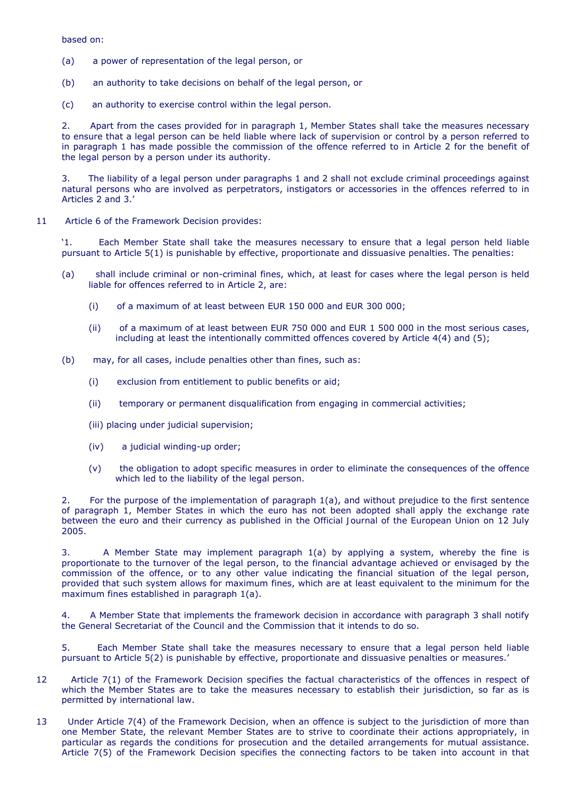based on:

- $(a)$ a power of representation of the legal person, or
- (b) an authority to take decisions on behalf of the legal person, or
- (c) an authority to exercise control within the legal person.

 $2.$  in paragraph 1 has made possible the commission of the offence referred to in Article 2 for the benefit of Apart from the cases provided for in paragraph 1, Member States shall take the measures necessary to ensure that a legal person can be held liable where lack of supervision or control by a person referred to the legal person by a person under its authority.

3. The liability of a legal person under paragraphs 1 and 2 shall not exclude criminal proceedings against natural persons who are involved as perpetrators, instigators or accessories in the offences referred to in Articles 2 and 3.'

11 Article 6 of the Framework Decision provides:

'1. Each Member State shall take the measures necessary to ensure that a legal person held liable pursuant to Article 5(1) is punishable by effective, proportionate and dissuasive penalties. The penalties:

- (a) shall include criminal or non-criminal fines, which, at least for cases where the legal person is held liable for offences referred to in Article 2, are:
	- $(i)$ of a maximum of at least between EUR 150 000 and EUR 300 000;
	- (ii) of a maximum of at least between EUR 750 000 and EUR 1 500 000 in the most serious cases, including at least the intentionally committed offences covered by Article 4(4) and (5);
- (b) may, for all cases, include penalties other than fines, such as:
	- $(i)$ exclusion from entitlement to public benefits or aid;
	- (ii) temporary or permanent disqualification from engaging in commercial activities;
	- (iii) placing under judicial supervision;
	- $(iv)$ a judicial winding-up order;
	- which led to the liability of the legal person. (v) the obligation to adopt specific measures in order to eliminate the consequences of the offence

 $\mathcal{P}$ 2. For the purpose of the implementation of paragraph 1(a), and without prejudice to the first sentence of paragraph 1, Member States in which the euro has not been adopted shall apply the exchange rate between the euro and their currency as published in the *Official Journal of the European Union* on 12 July 2005.

 commission of the offence, or to any other value indicating the financial situation of the legal person, 3. A Member State may implement paragraph 1(a) by applying a system, whereby the fine is proportionate to the turnover of the legal person, to the financial advantage achieved or envisaged by the provided that such system allows for maximum fines, which are at least equivalent to the minimum for the maximum fines established in paragraph 1(a).

 $4.$  the General Secretariat of the Council and the Commission that it intends to do so. 4. A Member State that implements the framework decision in accordance with paragraph 3 shall notify

5. Each Member State shall take the measures necessary to ensure that a legal person held liable pursuant to Article 5(2) is punishable by effective, proportionate and dissuasive penalties or measures.'

- 12 Article 7(1) of the Framework Decision specifies the factual characteristics of the offences in respect of which the Member States are to take the measures necessary to establish their jurisdiction, so far as is permitted by international law.
- 13 Under Article 7(4) of the Framework Decision, when an offence is subject to the jurisdiction of more than one Member State, the relevant Member States are to strive to coordinate their actions appropriately, in particular as regards the conditions for prosecution and the detailed arrangements for mutual assistance. Article 7(5) of the Framework Decision specifies the connecting factors to be taken into account in that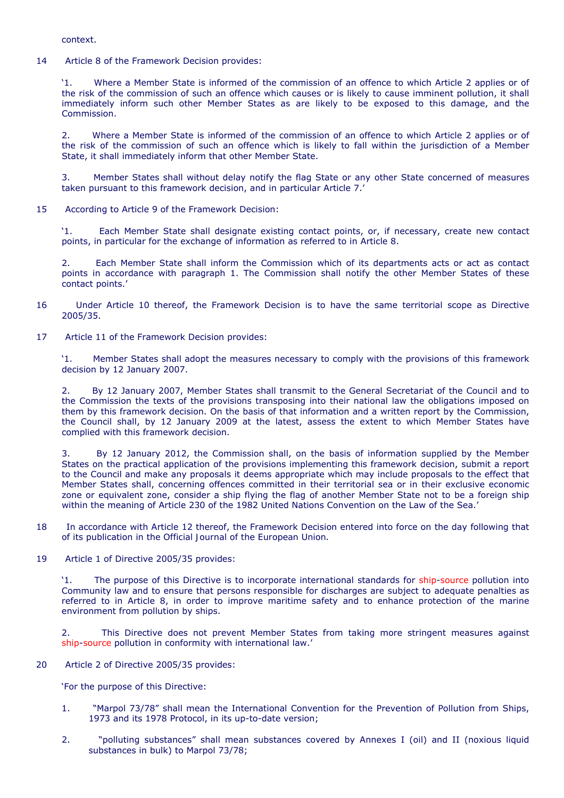context.

14 Article 8 of the Framework Decision provides:

 $M_{\odot}$  the risk of the commission of such an offence which causes or is likely to cause imminent pollution, it shall immediately inform such other Member States as are likely to be exposed to this damage, and the Where a Member State is informed of the commission of an offence to which Article 2 applies or of Commission.

 $2.$  the risk of the commission of such an offence which is likely to fall within the jurisdiction of a Member 2. Where a Member State is informed of the commission of an offence to which Article 2 applies or of State, it shall immediately inform that other Member State.

3. Member States shall without delay notify the flag State or any other State concerned of measures taken pursuant to this framework decision, and in particular Article 7.'

15 According to Article 9 of the Framework Decision:

'1. Each Member State shall designate existing contact points, or, if necessary, create new contact points, in particular for the exchange of information as referred to in Article 8.

2. Each Member State shall inform the Commission which of its departments acts or act as contact points in accordance with paragraph 1. The Commission shall notify the other Member States of these contact points.'

- 16 Under Article 10 thereof, the Framework Decision is to have the same territorial scope as Directive 2005/35.
- 17 Article 11 of the Framework Decision provides:

'1. Member States shall adopt the measures necessary to comply with the provisions of this framework decision by 12 January 2007.

 $2<sub>1</sub>$  the Commission the texts of the provisions transposing into their national law the obligations imposed on the Council shall, by 12 January 2009 at the latest, assess the extent to which Member States have By 12 January 2007, Member States shall transmit to the General Secretariat of the Council and to them by this framework decision. On the basis of that information and a written report by the Commission, complied with this framework decision.

 $3.$  Member States shall, concerning offences committed in their territorial sea or in their exclusive economic By 12 January 2012, the Commission shall, on the basis of information supplied by the Member States on the practical application of the provisions implementing this framework decision, submit a report to the Council and make any proposals it deems appropriate which may include proposals to the effect that zone or equivalent zone, consider a ship flying the flag of another Member State not to be a foreign ship within the meaning of Article 230 of the 1982 United Nations Convention on the Law of the Sea.'

18 In accordance with Article 12 thereof, the Framework Decision entered into force on the day following that of its publication in the *Official Journal of the European Union*.

19 Article 1 of Directive 2005/35 provides:

 $^{\prime}1$ . The purpose of this Directive is to incorporate international standards for ship-source pollution into Community law and to ensure that persons responsible for discharges are subject to adequate penalties as referred to in Article 8, in order to improve maritime safety and to enhance protection of the marine environment from pollution by ships.

2. This Directive does not prevent Member States from taking more stringent measures against ship-source pollution in conformity with international law.'

20 Article 2 of Directive 2005/35 provides:

'For the purpose of this Directive:

- $1<sub>1</sub>$ "Marpol 73/78" shall mean the International Convention for the Prevention of Pollution from Ships, 1973 and its 1978 Protocol, in its up-to-date version;
- 2. "polluting substances" shall mean substances covered by Annexes I (oil) and II (noxious liquid substances in bulk) to Marpol 73/78;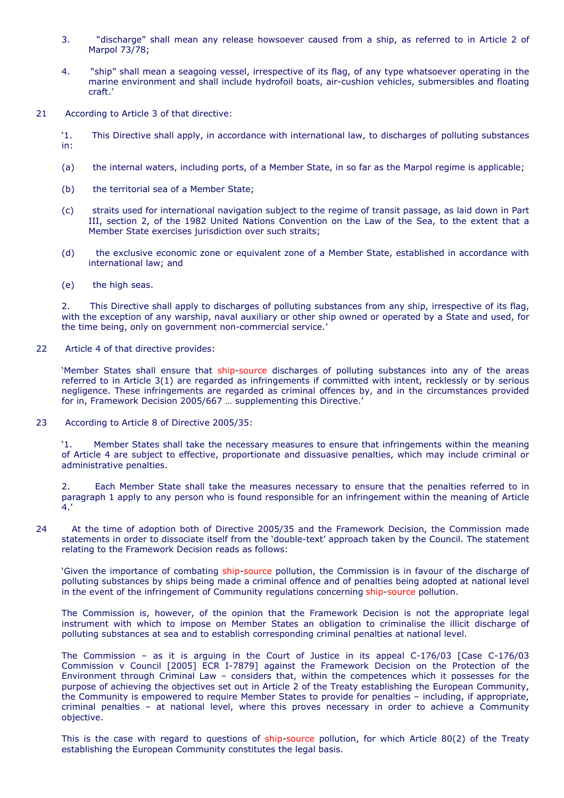- 3. "discharge" shall mean any release howsoever caused from a ship, as referred to in Article 2 of Marpol 73/78;
- 4. "ship" shall mean a seagoing vessel, irrespective of its flag, of any type whatsoever operating in the marine environment and shall include hydrofoil boats, air-cushion vehicles, submersibles and floating craft.'
- 21 According to Article 3 of that directive:
	- '1. This Directive shall apply, in accordance with international law, to discharges of polluting substances in:
	- $(a)$ the internal waters, including ports, of a Member State, in so far as the Marpol regime is applicable;
	- (b) the territorial sea of a Member State;
	- (c) straits used for international navigation subject to the regime of transit passage, as laid down in Part III, section 2, of the 1982 United Nations Convention on the Law of the Sea, to the extent that a Member State exercises jurisdiction over such straits;
	- (d) the exclusive economic zone or equivalent zone of a Member State, established in accordance with international law; and
	- (e) the high seas.

 with the exception of any warship, naval auxiliary or other ship owned or operated by a State and used, for 2. This Directive shall apply to discharges of polluting substances from any ship, irrespective of its flag, the time being, only on government non-commercial service.'

22 Article 4 of that directive provides:

 referred to in Article 3(1) are regarded as infringements if committed with intent, recklessly or by serious 'Member States shall ensure that ship-source discharges of polluting substances into any of the areas negligence. These infringements are regarded as criminal offences by, and in the circumstances provided for in, Framework Decision 2005/667 … supplementing this Directive.'

23 According to Article 8 of Directive 2005/35:

 $31<sub>1</sub>$ '1. Member States shall take the necessary measures to ensure that infringements within the meaning of Article 4 are subject to effective, proportionate and dissuasive penalties, which may include criminal or administrative penalties.

 $\overline{2}$ . 2. Each Member State shall take the measures necessary to ensure that the penalties referred to in paragraph 1 apply to any person who is found responsible for an infringement within the meaning of Article  $4.$ 

24 At the time of adoption both of Directive 2005/35 and the Framework Decision, the Commission made statements in order to dissociate itself from the 'double-text' approach taken by the Council. The statement relating to the Framework Decision reads as follows:

'Given the importance of combating ship-source pollution, the Commission is in favour of the discharge of polluting substances by ships being made a criminal offence and of penalties being adopted at national level in the event of the infringement of Community regulations concerning ship-source pollution.

 The Commission is, however, of the opinion that the Framework Decision is not the appropriate legal instrument with which to impose on Member States an obligation to criminalise the illicit discharge of polluting substances at sea and to establish corresponding criminal penalties at national level.

 The Commission – as it is arguing in the Court of Justice in its appeal C-176/03 [Case C-176/03 the Community is empowered to require Member States to provide for penalties – including, if appropriate, criminal penalties – at national level, where this proves necessary in order to achieve a Community *Commission* v *Council* [2005] ECR I-7879] against the Framework Decision on the Protection of the Environment through Criminal Law – considers that, within the competences which it possesses for the purpose of achieving the objectives set out in Article 2 of the Treaty establishing the European Community, objective.

This is the case with regard to questions of ship-source pollution, for which Article 80(2) of the Treaty establishing the European Community constitutes the legal basis.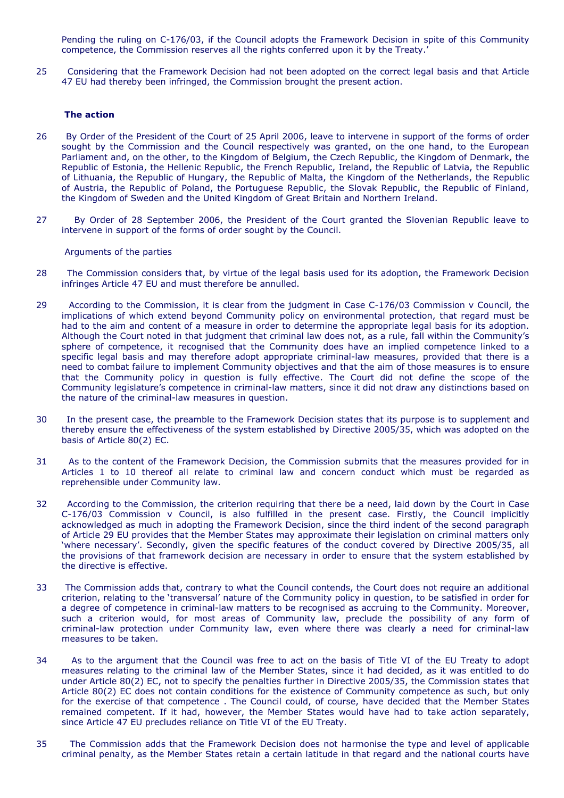Pending the ruling on C-176/03, if the Council adopts the Framework Decision in spite of this Community competence, the Commission reserves all the rights conferred upon it by the Treaty.'

25 Considering that the Framework Decision had not been adopted on the correct legal basis and that Article 47 EU had thereby been infringed, the Commission brought the present action.

## **The action**

- 26 By Order of the President of the Court of 25 April 2006, leave to intervene in support of the forms of order sought by the Commission and the Council respectively was granted, on the one hand, to the European Parliament and, on the other, to the Kingdom of Belgium, the Czech Republic, the Kingdom of Denmark, the Republic of Estonia, the Hellenic Republic, the French Republic, Ireland, the Republic of Latvia, the Republic of Lithuania, the Republic of Hungary, the Republic of Malta, the Kingdom of the Netherlands, the Republic of Austria, the Republic of Poland, the Portuguese Republic, the Slovak Republic, the Republic of Finland, the Kingdom of Sweden and the United Kingdom of Great Britain and Northern Ireland.
- 27 By Order of 28 September 2006, the President of the Court granted the Slovenian Republic leave to intervene in support of the forms of order sought by the Council.

### *Arguments of the parties*

- 28 The Commission considers that, by virtue of the legal basis used for its adoption, the Framework Decision infringes Article 47 EU and must therefore be annulled.
- that the Community policy in question is fully effective. The Court did not define the scope of the Community legislature's competence in criminal-law matters, since it did not draw any distinctions based on 29 According to the Commission, it is clear from the judgment in Case C-176/03 *Commission* v *Council*, the implications of which extend beyond Community policy on environmental protection, that regard must be had to the aim and content of a measure in order to determine the appropriate legal basis for its adoption. Although the Court noted in that judgment that criminal law does not, as a rule, fall within the Community's sphere of competence, it recognised that the Community does have an implied competence linked to a specific legal basis and may therefore adopt appropriate criminal-law measures, provided that there is a need to combat failure to implement Community objectives and that the aim of those measures is to ensure the nature of the criminal-law measures in question.
- 30 In the present case, the preamble to the Framework Decision states that its purpose is to supplement and thereby ensure the effectiveness of the system established by Directive 2005/35, which was adopted on the basis of Article 80(2) EC.
- 31 As to the content of the Framework Decision, the Commission submits that the measures provided for in Articles 1 to 10 thereof all relate to criminal law and concern conduct which must be regarded as reprehensible under Community law.
- of Article 29 EU provides that the Member States may approximate their legislation on criminal matters only the provisions of that framework decision are necessary in order to ensure that the system established by 32 According to the Commission, the criterion requiring that there be a need, laid down by the Court in Case C-176/03 *Commission* v *Council*, is also fulfilled in the present case. Firstly, the Council implicitly acknowledged as much in adopting the Framework Decision, since the third indent of the second paragraph 'where necessary'. Secondly, given the specific features of the conduct covered by Directive 2005/35, all the directive is effective.
- such a criterion would, for most areas of Community law, preclude the possibility of any form of 33 The Commission adds that, contrary to what the Council contends, the Court does not require an additional criterion, relating to the 'transversal' nature of the Community policy in question, to be satisfied in order for a degree of competence in criminal-law matters to be recognised as accruing to the Community. Moreover, criminal-law protection under Community law, even where there was clearly a need for criminal-law measures to be taken.
- measures relating to the criminal law of the Member States, since it had decided, as it was entitled to do Article 80(2) EC does not contain conditions for the existence of Community competence as such, but only remained competent. If it had, however, the Member States would have had to take action separately, 34 As to the argument that the Council was free to act on the basis of Title VI of the EU Treaty to adopt under Article 80(2) EC, not to specify the penalties further in Directive 2005/35, the Commission states that for the exercise of that competence . The Council could, of course, have decided that the Member States since Article 47 EU precludes reliance on Title VI of the EU Treaty.
- 35 The Commission adds that the Framework Decision does not harmonise the type and level of applicable criminal penalty, as the Member States retain a certain latitude in that regard and the national courts have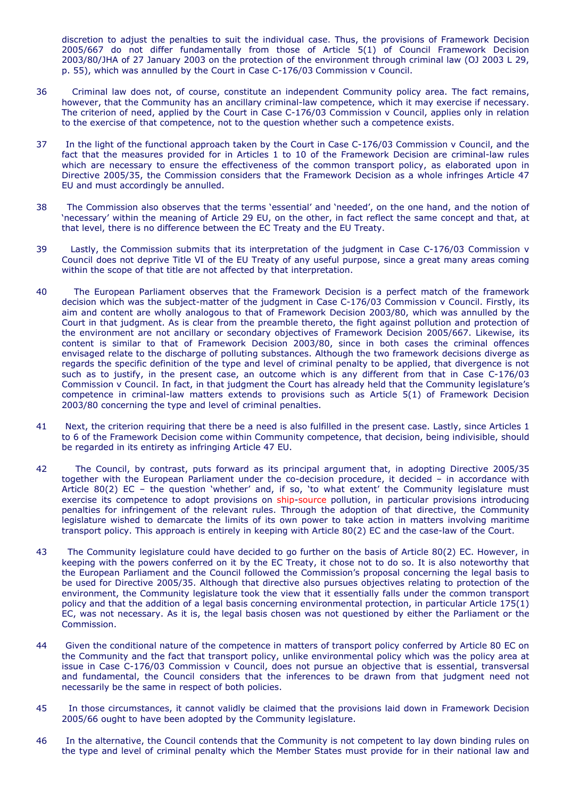discretion to adjust the penalties to suit the individual case. Thus, the provisions of Framework Decision 2005/667 do not differ fundamentally from those of Article 5(1) of Council Framework Decision 2003/80/JHA of 27 January 2003 on the protection of the environment through criminal law (OJ 2003 L 29, p. 55), which was annulled by the Court in Case C-176/03 *Commission* v *Council*.

- 36 The criterion of need, applied by the Court in Case C-176/03 *Commission* v *Council*, applies only in relation Criminal law does not, of course, constitute an independent Community policy area. The fact remains, however, that the Community has an ancillary criminal-law competence, which it may exercise if necessary. to the exercise of that competence, not to the question whether such a competence exists.
- 37 In the light of the functional approach taken by the Court in Case C-176/03 *Commission* v *Council*, and the fact that the measures provided for in Articles 1 to 10 of the Framework Decision are criminal-law rules which are necessary to ensure the effectiveness of the common transport policy, as elaborated upon in Directive 2005/35, the Commission considers that the Framework Decision as a whole infringes Article 47 EU and must accordingly be annulled.
- 38 The Commission also observes that the terms 'essential' and 'needed', on the one hand, and the notion of 'necessary' within the meaning of Article 29 EU, on the other, in fact reflect the same concept and that, at that level, there is no difference between the EC Treaty and the EU Treaty.
- *Council* does not deprive Title VI of the EU Treaty of any useful purpose, since a great many areas coming 39 Lastly, the Commission submits that its interpretation of the judgment in Case C-176/03 *Commission* v within the scope of that title are not affected by that interpretation.
- 40 Court in that judgment. As is clear from the preamble thereto, the fight against pollution and protection of The European Parliament observes that the Framework Decision is a perfect match of the framework decision which was the subject-matter of the judgment in Case C-176/03 *Commission* v *Council*. Firstly, its aim and content are wholly analogous to that of Framework Decision 2003/80, which was annulled by the the environment are not ancillary or secondary objectives of Framework Decision 2005/667. Likewise, its content is similar to that of Framework Decision 2003/80, since in both cases the criminal offences envisaged relate to the discharge of polluting substances. Although the two framework decisions diverge as regards the specific definition of the type and level of criminal penalty to be applied, that divergence is not such as to justify, in the present case, an outcome which is any different from that in Case C-176/03 *Commission* v *Council*. In fact, in that judgment the Court has already held that the Community legislature's competence in criminal-law matters extends to provisions such as Article 5(1) of Framework Decision 2003/80 concerning the type and level of criminal penalties.
- 41 Next, the criterion requiring that there be a need is also fulfilled in the present case. Lastly, since Articles 1 to 6 of the Framework Decision come within Community competence, that decision, being indivisible, should be regarded in its entirety as infringing Article 47 EU.
- penalties for infringement of the relevant rules. Through the adoption of that directive, the Community legislature wished to demarcate the limits of its own power to take action in matters involving maritime 42 The Council, by contrast, puts forward as its principal argument that, in adopting Directive 2005/35 together with the European Parliament under the co-decision procedure, it decided – in accordance with Article 80(2) EC – the question 'whether' and, if so, 'to what extent' the Community legislature must exercise its competence to adopt provisions on ship-source pollution, in particular provisions introducing transport policy. This approach is entirely in keeping with Article 80(2) EC and the case-law of the Court.
- policy and that the addition of a legal basis concerning environmental protection, in particular Article 175(1) 43 The Community legislature could have decided to go further on the basis of Article 80(2) EC. However, in keeping with the powers conferred on it by the EC Treaty, it chose not to do so. It is also noteworthy that the European Parliament and the Council followed the Commission's proposal concerning the legal basis to be used for Directive 2005/35. Although that directive also pursues objectives relating to protection of the environment, the Community legislature took the view that it essentially falls under the common transport EC, was not necessary. As it is, the legal basis chosen was not questioned by either the Parliament or the Commission.
- issue in Case C-176/03 *Commission* v *Council*, does not pursue an objective that is essential, transversal 44 Given the conditional nature of the competence in matters of transport policy conferred by Article 80 EC on the Community and the fact that transport policy, unlike environmental policy which was the policy area at and fundamental, the Council considers that the inferences to be drawn from that judgment need not necessarily be the same in respect of both policies.
- 45 In those circumstances, it cannot validly be claimed that the provisions laid down in Framework Decision 2005/66 ought to have been adopted by the Community legislature.
- the type and level of criminal penalty which the Member States must provide for in their national law and 46 In the alternative, the Council contends that the Community is not competent to lay down binding rules on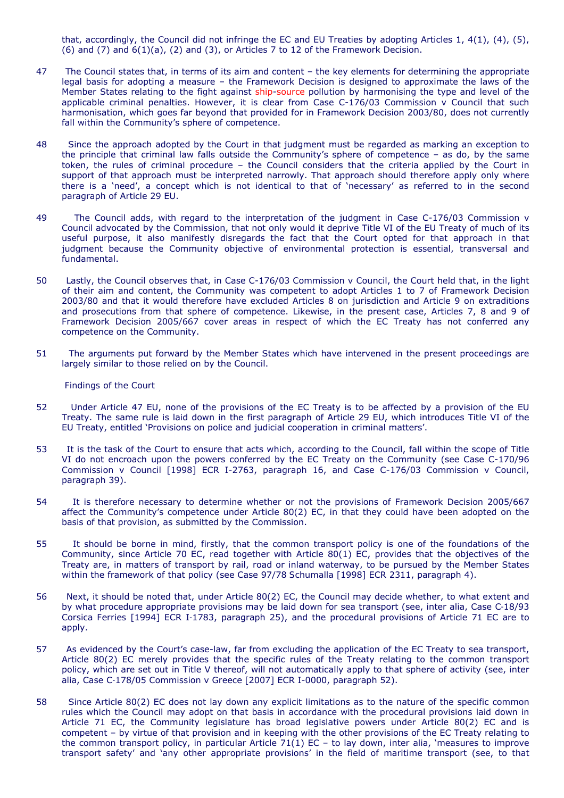that, accordingly, the Council did not infringe the EC and EU Treaties by adopting Articles 1, 4(1), (4), (5), (6) and  $(7)$  and  $6(1)(a)$ ,  $(2)$  and  $(3)$ , or Articles 7 to 12 of the Framework Decision.

- 47 The Council states that, in terms of its aim and content the key elements for determining the appropriate legal basis for adopting a measure – the Framework Decision is designed to approximate the laws of the Member States relating to the fight against ship-source pollution by harmonising the type and level of the applicable criminal penalties. However, it is clear from Case C-176/03 *Commission* v *Council* that such harmonisation, which goes far beyond that provided for in Framework Decision 2003/80, does not currently fall within the Community's sphere of competence.
- the principle that criminal law falls outside the Community's sphere of competence as do, by the same token, the rules of criminal procedure – the Council considers that the criteria applied by the Court in 48 Since the approach adopted by the Court in that judgment must be regarded as marking an exception to support of that approach must be interpreted narrowly. That approach should therefore apply only where there is a 'need', a concept which is not identical to that of 'necessary' as referred to in the second paragraph of Article 29 EU.
- *Council* advocated by the Commission, that not only would it deprive Title VI of the EU Treaty of much of its useful purpose, it also manifestly disregards the fact that the Court opted for that approach in that 49 The Council adds, with regard to the interpretation of the judgment in Case C-176/03 *Commission* v judgment because the Community objective of environmental protection is essential, transversal and fundamental.
- 2003/80 and that it would therefore have excluded Articles 8 on jurisdiction and Article 9 on extraditions 50 Lastly, the Council observes that, in Case C-176/03 *Commission* v *Council*, the Court held that, in the light of their aim and content, the Community was competent to adopt Articles 1 to 7 of Framework Decision and prosecutions from that sphere of competence. Likewise, in the present case, Articles 7, 8 and 9 of Framework Decision 2005/667 cover areas in respect of which the EC Treaty has not conferred any competence on the Community.
- 51 The arguments put forward by the Member States which have intervened in the present proceedings are largely similar to those relied on by the Council.

# *Findings of the Court*

- 52 Under Article 47 EU, none of the provisions of the EC Treaty is to be affected by a provision of the EU Treaty. The same rule is laid down in the first paragraph of Article 29 EU, which introduces Title VI of the EU Treaty, entitled 'Provisions on police and judicial cooperation in criminal matters'.
- 53 It is the task of the Court to ensure that acts which, according to the Council, fall within the scope of Title VI do not encroach upon the powers conferred by the EC Treaty on the Community (see Case C-170/96 *Commission* v *Council* [1998] ECR I-2763, paragraph 16, and Case C-176/03 *Commission* v *Council*, paragraph 39).
- 54 It is therefore necessary to determine whether or not the provisions of Framework Decision 2005/667 affect the Community's competence under Article 80(2) EC, in that they could have been adopted on the basis of that provision, as submitted by the Commission.
- 55 It should be borne in mind, firstly, that the common transport policy is one of the foundations of the Community, since Article 70 EC, read together with Article 80(1) EC, provides that the objectives of the Treaty are, in matters of transport by rail, road or inland waterway, to be pursued by the Member States within the framework of that policy (see Case 97/78 *Schumalla* [1998] ECR 2311, paragraph 4).
- *Corsica Ferries* [1994] ECR I‑1783, paragraph 25), and the procedural provisions of Article 71 EC are to 56 Next, it should be noted that, under Article 80(2) EC, the Council may decide whether, to what extent and by what procedure appropriate provisions may be laid down for sea transport (see, inter alia, Case C-18/93 apply.
- Article 80(2) EC merely provides that the specific rules of the Treaty relating to the common transport 57 As evidenced by the Court's case-law, far from excluding the application of the EC Treaty to sea transport, policy, which are set out in Title V thereof, will not automatically apply to that sphere of activity (see, inter alia, Case C‑178/05 *Commission* v *Greece* [2007] ECR I-0000, paragraph 52).
- rules which the Council may adopt on that basis in accordance with the procedural provisions laid down in the common transport policy, in particular Article 71(1) EC – to lay down, inter alia, 'measures to improve 58 Since Article 80(2) EC does not lay down any explicit limitations as to the nature of the specific common Article 71 EC, the Community legislature has broad legislative powers under Article 80(2) EC and is competent – by virtue of that provision and in keeping with the other provisions of the EC Treaty relating to transport safety' and 'any other appropriate provisions' in the field of maritime transport (see, to that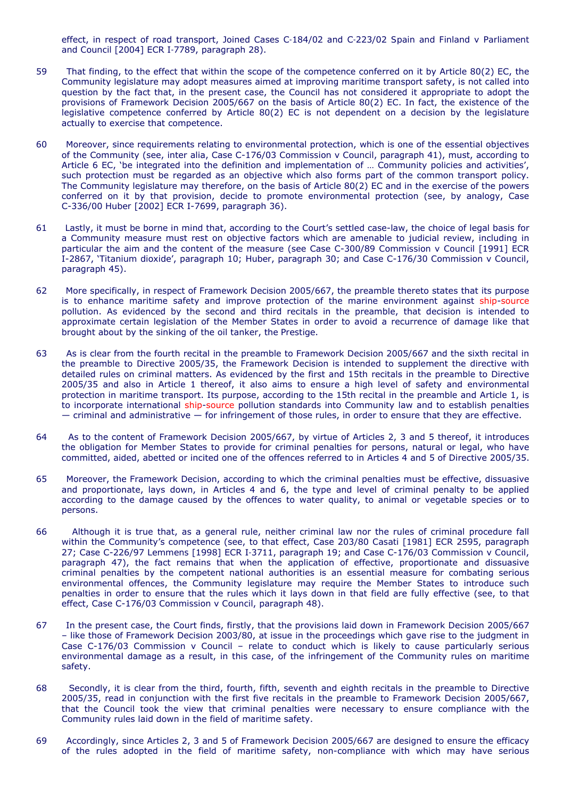effect, in respect of road transport, Joined Cases C‑184/02 and C‑223/02 *Spain and Finland* v *Parliament and Council* [2004] ECR I‑7789, paragraph 28).

- Community legislature may adopt measures aimed at improving maritime transport safety, is not called into 59 That finding, to the effect that within the scope of the competence conferred on it by Article 80(2) EC, the question by the fact that, in the present case, the Council has not considered it appropriate to adopt the provisions of Framework Decision 2005/667 on the basis of Article 80(2) EC. In fact, the existence of the legislative competence conferred by Article 80(2) EC is not dependent on a decision by the legislature actually to exercise that competence.
- 60 Moreover, since requirements relating to environmental protection, which is one of the essential objectives of the Community (see, inter alia, Case C-176/03 *Commission* v *Council*, paragraph 41), must, according to Article 6 EC, 'be integrated into the definition and implementation of … Community policies and activities', such protection must be regarded as an objective which also forms part of the common transport policy. The Community legislature may therefore, on the basis of Article 80(2) EC and in the exercise of the powers conferred on it by that provision, decide to promote environmental protection (see, by analogy, Case C-336/00 *Huber* [2002] ECR I-7699, paragraph 36).
- particular the aim and the content of the measure (see Case C-300/89 *Commission* v *Council* [1991] ECR 61 Lastly, it must be borne in mind that, according to the Court's settled case-law, the choice of legal basis for a Community measure must rest on objective factors which are amenable to judicial review, including in I-2867, '*Titanium dioxide*', paragraph 10; *Huber*, paragraph 30; and Case C-176/30 *Commission* v *Council*, paragraph 45).
- pollution. As evidenced by the second and third recitals in the preamble, that decision is intended to 62 More specifically, in respect of Framework Decision 2005/667, the preamble thereto states that its purpose is to enhance maritime safety and improve protection of the marine environment against ship-source approximate certain legislation of the Member States in order to avoid a recurrence of damage like that brought about by the sinking of the oil tanker, the *Prestige*.
- the preamble to Directive 2005/35, the Framework Decision is intended to supplement the directive with protection in maritime transport. Its purpose, according to the 15th recital in the preamble and Article 1, is to incorporate international ship-source pollution standards into Community law and to establish penalties 63 As is clear from the fourth recital in the preamble to Framework Decision 2005/667 and the sixth recital in detailed rules on criminal matters. As evidenced by the first and 15th recitals in the preamble to Directive 2005/35 and also in Article 1 thereof, it also aims to ensure a high level of safety and environmental — criminal and administrative — for infringement of those rules, in order to ensure that they are effective.
- 64 As to the content of Framework Decision 2005/667, by virtue of Articles 2, 3 and 5 thereof, it introduces the obligation for Member States to provide for criminal penalties for persons, natural or legal, who have committed, aided, abetted or incited one of the offences referred to in Articles 4 and 5 of Directive 2005/35.
- 65 Moreover, the Framework Decision, according to which the criminal penalties must be effective, dissuasive and proportionate, lays down, in Articles 4 and 6, the type and level of criminal penalty to be applied according to the damage caused by the offences to water quality, to animal or vegetable species or to persons.
- paragraph 47), the fact remains that when the application of effective, proportionate and dissuasive criminal penalties by the competent national authorities is an essential measure for combating serious penalties in order to ensure that the rules which it lays down in that field are fully effective (see, to that 66 Although it is true that, as a general rule, neither criminal law nor the rules of criminal procedure fall within the Community's competence (see, to that effect, Case 203/80 *Casati* [1981] ECR 2595, paragraph 27; Case C-226/97 *Lemmens* [1998] ECR I‑3711, paragraph 19; and Case C-176/03 *Commission* v *Council*, environmental offences, the Community legislature may require the Member States to introduce such effect, Case C-176/03 *Commission* v *Council*, paragraph 48).
- 67 In the present case, the Court finds, firstly, that the provisions laid down in Framework Decision 2005/667 – like those of Framework Decision 2003/80, at issue in the proceedings which gave rise to the judgment in Case C-176/03 *Commission* v *Council* – relate to conduct which is likely to cause particularly serious environmental damage as a result, in this case, of the infringement of the Community rules on maritime safety.
- 2005/35, read in conjunction with the first five recitals in the preamble to Framework Decision 2005/667, that the Council took the view that criminal penalties were necessary to ensure compliance with the 68 Secondly, it is clear from the third, fourth, fifth, seventh and eighth recitals in the preamble to Directive Community rules laid down in the field of maritime safety.
- 69 Accordingly, since Articles 2, 3 and 5 of Framework Decision 2005/667 are designed to ensure the efficacy of the rules adopted in the field of maritime safety, non-compliance with which may have serious